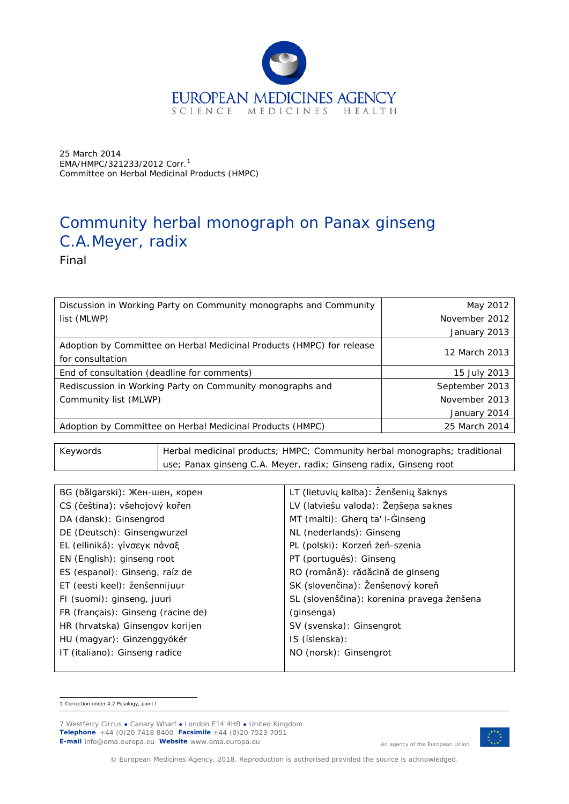

25 March 2014 EMA/HMPC/321233/2012 *Corr.*[1](#page-0-0) Committee on Herbal Medicinal Products (HMPC)

# Community herbal monograph on *Panax ginseng* C.A.Meyer, radix

Final

| Community list (MLWP)                                                                     | November 2013  |
|-------------------------------------------------------------------------------------------|----------------|
| Rediscussion in Working Party on Community monographs and                                 | September 2013 |
| End of consultation (deadline for comments)                                               | 15 July 2013   |
| Adoption by Committee on Herbal Medicinal Products (HMPC) for release<br>for consultation | 12 March 2013  |
|                                                                                           | January 2013   |
| list (MLWP)                                                                               | November 2012  |
| Discussion in Working Party on Community monographs and Community                         | May 2012       |

Keywords **Herbal medicinal products; HMPC; Community herbal monographs; traditional** use; *Panax ginseng* C.A. Meyer, radix; Ginseng radix, Ginseng root

| BG (bălgarski): Жен-шен, корен     | LT (lietuvių kalba): Ženšenių šaknys       |
|------------------------------------|--------------------------------------------|
| CS (čeština): všehojový kořen      | LV (latviešu valoda): Žeņšeņa saknes       |
| DA (dansk): Ginsengrod             | MT (malti): Gherq ta' I-Ginseng            |
| DE (Deutsch): Ginsengwurzel        | NL (nederlands): Ginseng                   |
| EL (elliniká): γίνσεγκ πάναξ       | PL (polski): Korzeń żeń-szenia             |
| EN (English): ginseng root         | PT (português): Ginseng                    |
| ES (espanol): Ginseng, raíz de     | RO (română): rădăcină de ginseng           |
| ET (eesti keel): ženšennijuur      | SK (slovenčina): Ženšenový koreň           |
| FI (suomi): ginseng, juuri         | SL (slovenščina): korenina pravega ženšena |
| FR (français): Ginseng (racine de) | (ginsenga)                                 |
| HR (hrvatska) Ginsengov korijen    | SV (svenska): Ginsengrot                   |
| HU (magyar): Ginzenggyökér         | IS (íslenska):                             |
| IT (italiano): Ginseng radice      | NO (norsk): Ginsengrot                     |
|                                    |                                            |

<span id="page-0-0"></span> <sup>1</sup> Correction under 4.2 Posology, point I



An agency of the European Union

© European Medicines Agency, 2018. Reproduction is authorised provided the source is acknowledged.

<sup>7</sup> Westferry Circus **●** Canary Wharf **●** London E14 4HB **●** United Kingdom **Telephone** +44 (0)20 7418 8400 **Facsimile** +44 (0)20 7523 7051 **E-mail** info@ema.europa.eu **Website** www.ema.europa.eu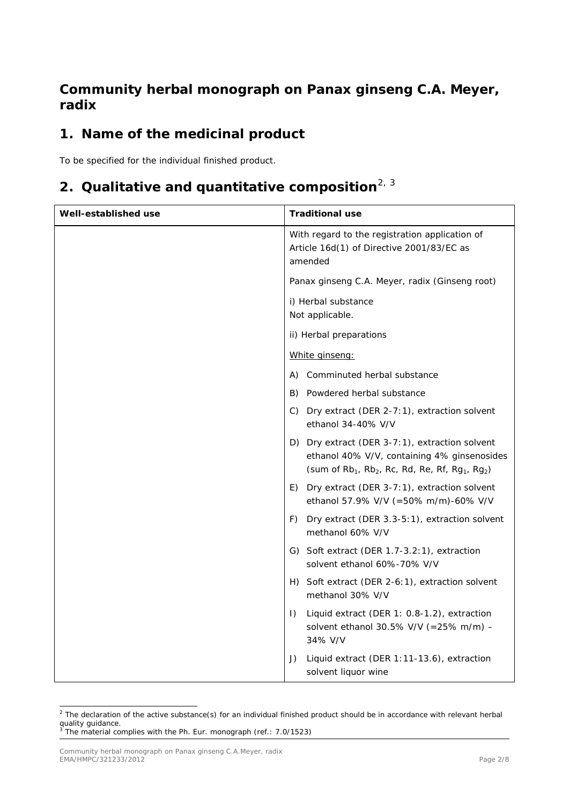## **Community herbal monograph on** *Panax ginseng* **C.A. Meyer, radix**

# **1. Name of the medicinal product**

To be specified for the individual finished product.

# **2. Qualitative and quantitative composition**[2](#page-1-0), [3](#page-1-1)

| Well-established use | <b>Traditional use</b>                                                                                                                                                   |
|----------------------|--------------------------------------------------------------------------------------------------------------------------------------------------------------------------|
|                      | With regard to the registration application of<br>Article 16d(1) of Directive 2001/83/EC as<br>amended                                                                   |
|                      | Panax ginseng C.A. Meyer, radix (Ginseng root)                                                                                                                           |
|                      | i) Herbal substance<br>Not applicable.                                                                                                                                   |
|                      | ii) Herbal preparations                                                                                                                                                  |
|                      | White ginseng:                                                                                                                                                           |
|                      | A) Comminuted herbal substance                                                                                                                                           |
|                      | B) Powdered herbal substance                                                                                                                                             |
|                      | C) Dry extract (DER 2-7:1), extraction solvent<br>ethanol 34-40% V/V                                                                                                     |
|                      | D) Dry extract (DER 3-7:1), extraction solvent<br>ethanol 40% V/V, containing 4% ginsenosides<br>(sum of $Rb_1$ , $Rb_2$ , $Rc$ , $Rd$ , $Re$ , $Rf$ , $Rg_1$ , $Rg_2$ ) |
|                      | Dry extract (DER 3-7:1), extraction solvent<br>E)<br>ethanol 57.9% V/V (=50% m/m)-60% V/V                                                                                |
|                      | Dry extract (DER 3.3-5:1), extraction solvent<br>F)<br>methanol 60% V/V                                                                                                  |
|                      | G) Soft extract (DER 1.7-3.2:1), extraction<br>solvent ethanol 60%-70% V/V                                                                                               |
|                      | H) Soft extract (DER 2-6:1), extraction solvent<br>methanol 30% V/V                                                                                                      |
|                      | Liquid extract (DER 1: 0.8-1.2), extraction<br>$\vert$ )<br>solvent ethanol 30.5% V/V (=25% m/m) -<br>34% V/V                                                            |
|                      | Liquid extract (DER 1:11-13.6), extraction<br>J)<br>solvent liquor wine                                                                                                  |

<span id="page-1-0"></span> $2$  The declaration of the active substance(s) for an individual finished product should be in accordance with relevant herbal quality guidance.<br><sup>3</sup> The material complies with the Ph. Eur. monograph (ref.: 7.0/1523)

<span id="page-1-1"></span>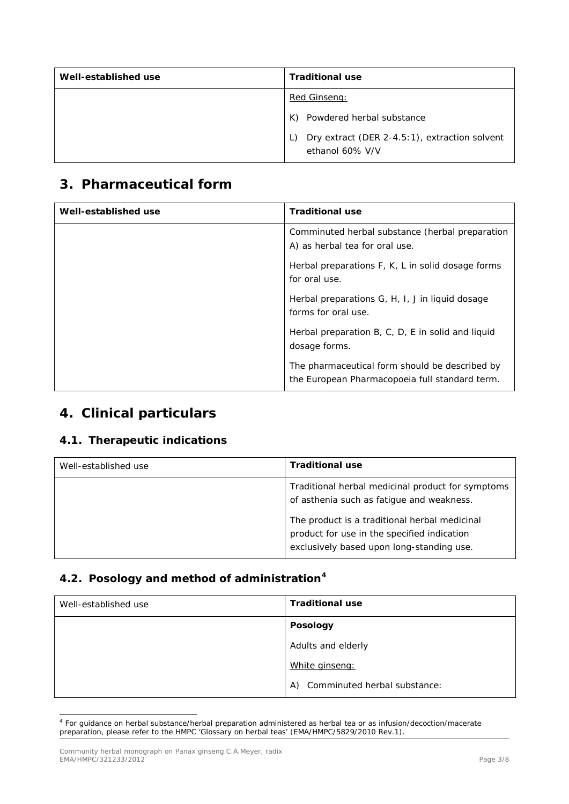| Well-established use | <b>Traditional use</b>                                                 |
|----------------------|------------------------------------------------------------------------|
|                      | Red Ginseng:                                                           |
|                      | Powdered herbal substance<br>K)                                        |
|                      | Dry extract (DER 2-4.5:1), extraction solvent<br>L)<br>ethanol 60% V/V |

## **3. Pharmaceutical form**

| Well-established use | <b>Traditional use</b>                                                                           |
|----------------------|--------------------------------------------------------------------------------------------------|
|                      | Comminuted herbal substance (herbal preparation<br>A) as herbal tea for oral use.                |
|                      | Herbal preparations F, K, L in solid dosage forms<br>for oral use.                               |
|                      | Herbal preparations G, H, I, J in liquid dosage<br>forms for oral use.                           |
|                      | Herbal preparation B, C, D, E in solid and liquid<br>dosage forms.                               |
|                      | The pharmaceutical form should be described by<br>the European Pharmacopoeia full standard term. |

## **4. Clinical particulars**

#### *4.1. Therapeutic indications*

| Well-established use | <b>Traditional use</b>                                                                                                                                                                                                                      |
|----------------------|---------------------------------------------------------------------------------------------------------------------------------------------------------------------------------------------------------------------------------------------|
|                      | Traditional herbal medicinal product for symptoms<br>of asthenia such as fatigue and weakness.<br>The product is a traditional herbal medicinal<br>product for use in the specified indication<br>exclusively based upon long-standing use. |

## *4.2. Posology and method of administration[4](#page-2-0)*

| Well-established use | <b>Traditional use</b>             |
|----------------------|------------------------------------|
|                      | <b>Posology</b>                    |
|                      | Adults and elderly                 |
|                      | White ginseng:                     |
|                      | Comminuted herbal substance:<br>A) |

<span id="page-2-0"></span> <sup>4</sup> For guidance on herbal substance/herbal preparation administered as herbal tea or as infusion/decoction/macerate preparation, please refer to the HMPC 'Glossary on herbal teas' (EMA/HMPC/5829/2010 Rev.1).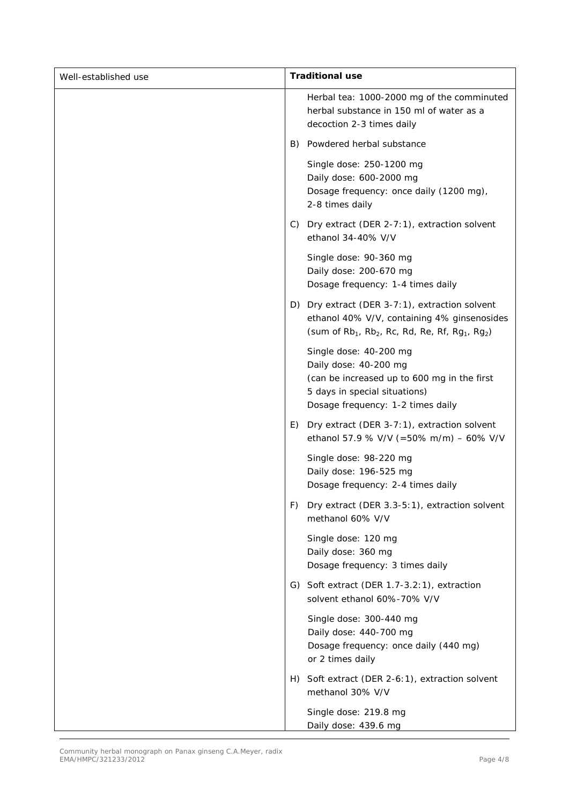| Well-established use | <b>Traditional use</b>                                                                                                                                                         |
|----------------------|--------------------------------------------------------------------------------------------------------------------------------------------------------------------------------|
|                      | Herbal tea: 1000-2000 mg of the comminuted<br>herbal substance in 150 ml of water as a<br>decoction 2-3 times daily                                                            |
|                      | B) Powdered herbal substance                                                                                                                                                   |
|                      | Single dose: 250-1200 mg<br>Daily dose: 600-2000 mg<br>Dosage frequency: once daily (1200 mg),<br>2-8 times daily                                                              |
|                      | C) Dry extract (DER 2-7:1), extraction solvent<br>ethanol 34-40% V/V                                                                                                           |
|                      | Single dose: 90-360 mg<br>Daily dose: 200-670 mg<br>Dosage frequency: 1-4 times daily                                                                                          |
|                      | D) Dry extract (DER 3-7:1), extraction solvent<br>ethanol 40% V/V, containing 4% ginsenosides<br>(sum of $Rb_1$ , $Rb_2$ , Rc, Rd, Re, Rf, Rg <sub>1</sub> , Rg <sub>2</sub> ) |
|                      | Single dose: 40-200 mg<br>Daily dose: 40-200 mg<br>(can be increased up to 600 mg in the first<br>5 days in special situations)<br>Dosage frequency: 1-2 times daily           |
|                      | Dry extract (DER 3-7:1), extraction solvent<br>E)<br>ethanol 57.9 % V/V (=50% m/m) - 60% V/V                                                                                   |
|                      | Single dose: 98-220 mg<br>Daily dose: 196-525 mg<br>Dosage frequency: 2-4 times daily                                                                                          |
|                      | Dry extract (DER 3.3-5:1), extraction solvent<br>F)<br>methanol 60% V/V                                                                                                        |
|                      | Single dose: 120 mg<br>Daily dose: 360 mg<br>Dosage frequency: 3 times daily                                                                                                   |
|                      | G) Soft extract (DER 1.7-3.2:1), extraction<br>solvent ethanol 60%-70% V/V                                                                                                     |
|                      | Single dose: 300-440 mg<br>Daily dose: 440-700 mg<br>Dosage frequency: once daily (440 mg)<br>or 2 times daily                                                                 |
|                      | H) Soft extract (DER 2-6:1), extraction solvent<br>methanol 30% V/V                                                                                                            |
|                      | Single dose: 219.8 mg<br>Daily dose: 439.6 mg                                                                                                                                  |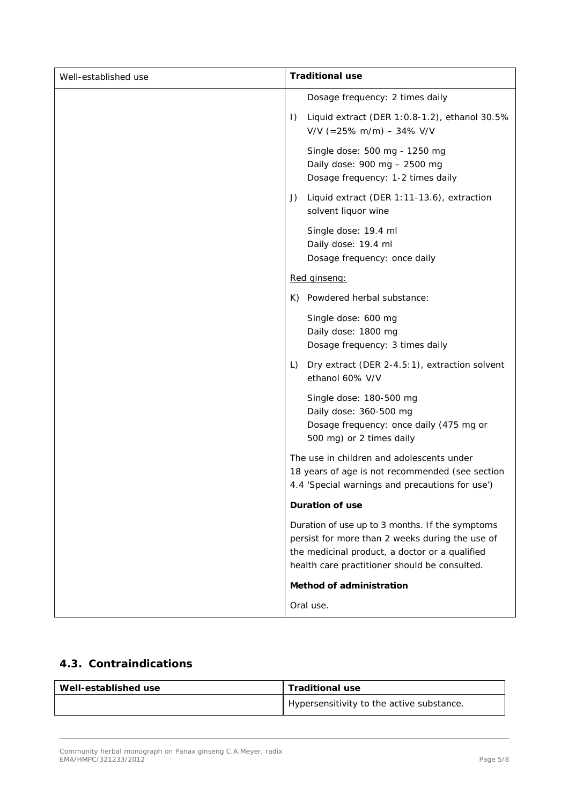| Well-established use | <b>Traditional use</b>                                                                                                                                                                                |
|----------------------|-------------------------------------------------------------------------------------------------------------------------------------------------------------------------------------------------------|
|                      | Dosage frequency: 2 times daily                                                                                                                                                                       |
|                      | Liquid extract (DER 1:0.8-1.2), ethanol 30.5%<br>$\vert$ )<br>$V/V$ (=25% m/m) - 34% V/V                                                                                                              |
|                      | Single dose: 500 mg - 1250 mg<br>Daily dose: 900 mg - 2500 mg<br>Dosage frequency: 1-2 times daily                                                                                                    |
|                      | Liquid extract (DER 1:11-13.6), extraction<br>J)<br>solvent liquor wine                                                                                                                               |
|                      | Single dose: 19.4 ml<br>Daily dose: 19.4 ml<br>Dosage frequency: once daily                                                                                                                           |
|                      | Red ginseng:                                                                                                                                                                                          |
|                      | K) Powdered herbal substance:                                                                                                                                                                         |
|                      | Single dose: 600 mg<br>Daily dose: 1800 mg<br>Dosage frequency: 3 times daily                                                                                                                         |
|                      | Dry extract (DER 2-4.5:1), extraction solvent<br>L)<br>ethanol 60% V/V                                                                                                                                |
|                      | Single dose: 180-500 mg<br>Daily dose: 360-500 mg<br>Dosage frequency: once daily (475 mg or<br>500 mg) or 2 times daily                                                                              |
|                      | The use in children and adolescents under<br>18 years of age is not recommended (see section<br>4.4 'Special warnings and precautions for use')                                                       |
|                      | Duration of use                                                                                                                                                                                       |
|                      | Duration of use up to 3 months. If the symptoms<br>persist for more than 2 weeks during the use of<br>the medicinal product, a doctor or a qualified<br>health care practitioner should be consulted. |
|                      | Method of administration                                                                                                                                                                              |
|                      | Oral use.                                                                                                                                                                                             |

## *4.3. Contraindications*

| Well-established use | <b>Traditional use</b>                    |
|----------------------|-------------------------------------------|
|                      | Hypersensitivity to the active substance. |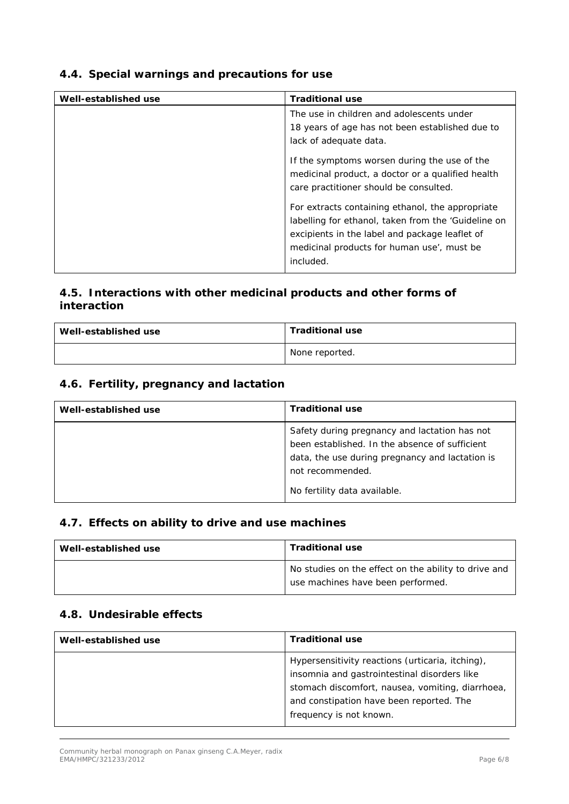## *4.4. Special warnings and precautions for use*

| Well-established use | <b>Traditional use</b>                                                                                                                                                                                                                                                                                                                                              |
|----------------------|---------------------------------------------------------------------------------------------------------------------------------------------------------------------------------------------------------------------------------------------------------------------------------------------------------------------------------------------------------------------|
|                      | The use in children and adolescents under                                                                                                                                                                                                                                                                                                                           |
|                      | 18 years of age has not been established due to                                                                                                                                                                                                                                                                                                                     |
|                      | lack of adequate data.                                                                                                                                                                                                                                                                                                                                              |
|                      | If the symptoms worsen during the use of the<br>medicinal product, a doctor or a qualified health<br>care practitioner should be consulted.<br>For extracts containing ethanol, the appropriate<br>labelling for ethanol, taken from the 'Guideline on<br>excipients in the label and package leaflet of<br>medicinal products for human use', must be<br>included. |

## *4.5. Interactions with other medicinal products and other forms of interaction*

| Well-established use | <b>Traditional use</b> |
|----------------------|------------------------|
|                      | None reported.         |

## *4.6. Fertility, pregnancy and lactation*

| Well-established use | <b>Traditional use</b>                                                                                                                                                                                 |
|----------------------|--------------------------------------------------------------------------------------------------------------------------------------------------------------------------------------------------------|
|                      | Safety during pregnancy and lactation has not<br>been established. In the absence of sufficient<br>data, the use during pregnancy and lactation is<br>not recommended.<br>No fertility data available. |

## *4.7. Effects on ability to drive and use machines*

| Well-established use | <b>Traditional use</b>                                                                    |
|----------------------|-------------------------------------------------------------------------------------------|
|                      | No studies on the effect on the ability to drive and<br>use machines have been performed. |

#### *4.8. Undesirable effects*

| Well-established use | <b>Traditional use</b>                                                                                                                                                                           |
|----------------------|--------------------------------------------------------------------------------------------------------------------------------------------------------------------------------------------------|
|                      | Hypersensitivity reactions (urticaria, itching),<br>insomnia and gastrointestinal disorders like<br>stomach discomfort, nausea, vomiting, diarrhoea,<br>and constipation have been reported. The |
|                      | frequency is not known.                                                                                                                                                                          |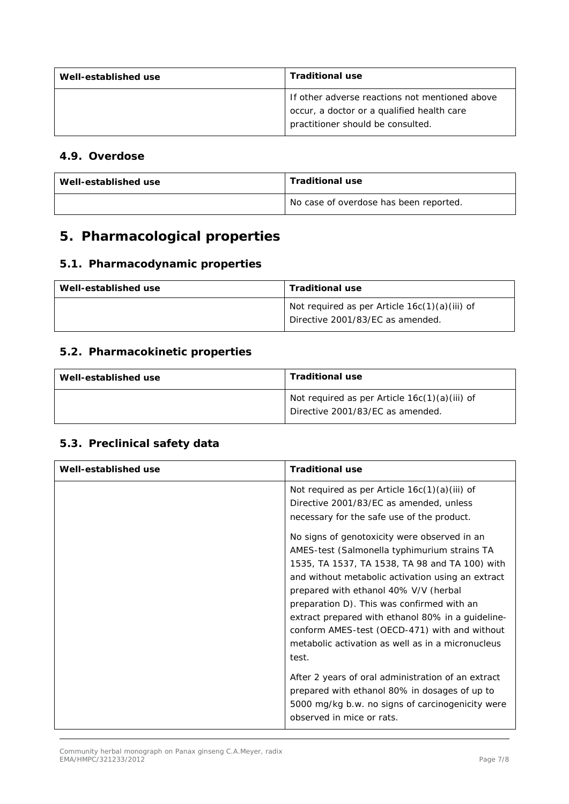| Well-established use | <b>Traditional use</b>                                                                                                            |
|----------------------|-----------------------------------------------------------------------------------------------------------------------------------|
|                      | If other adverse reactions not mentioned above<br>occur, a doctor or a qualified health care<br>practitioner should be consulted. |

#### *4.9. Overdose*

| Well-established use | <b>Traditional use</b>                 |
|----------------------|----------------------------------------|
|                      | No case of overdose has been reported. |

# **5. Pharmacological properties**

## *5.1. Pharmacodynamic properties*

| Well-established use | <b>Traditional use</b>                                                              |
|----------------------|-------------------------------------------------------------------------------------|
|                      | Not required as per Article $16c(1)(a)(iii)$ of<br>Directive 2001/83/EC as amended. |

## *5.2. Pharmacokinetic properties*

| Well-established use | <b>Traditional use</b>                                                              |
|----------------------|-------------------------------------------------------------------------------------|
|                      | Not required as per Article $16c(1)(a)(iii)$ of<br>Directive 2001/83/EC as amended. |

### *5.3. Preclinical safety data*

| Well-established use | <b>Traditional use</b>                                                                                                                                                                                                                                                                                                                                                                                                                                         |
|----------------------|----------------------------------------------------------------------------------------------------------------------------------------------------------------------------------------------------------------------------------------------------------------------------------------------------------------------------------------------------------------------------------------------------------------------------------------------------------------|
|                      | Not required as per Article $16c(1)(a)(iii)$ of<br>Directive 2001/83/EC as amended, unless<br>necessary for the safe use of the product.                                                                                                                                                                                                                                                                                                                       |
|                      | No signs of genotoxicity were observed in an<br>AMES-test (Salmonella typhimurium strains TA<br>1535, TA 1537, TA 1538, TA 98 and TA 100) with<br>and without metabolic activation using an extract<br>prepared with ethanol 40% V/V (herbal<br>preparation D). This was confirmed with an<br>extract prepared with ethanol 80% in a guideline-<br>conform AMES-test (OECD-471) with and without<br>metabolic activation as well as in a micronucleus<br>test. |
|                      | After 2 years of oral administration of an extract<br>prepared with ethanol 80% in dosages of up to<br>5000 mg/kg b.w. no signs of carcinogenicity were<br>observed in mice or rats.                                                                                                                                                                                                                                                                           |